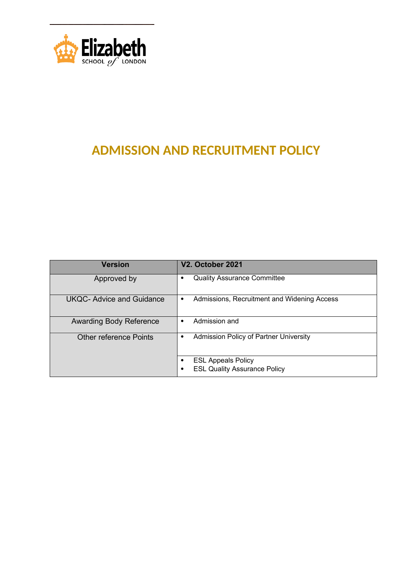

# **ADMISSION AND RECRUITMENT POLICY**

| <b>Version</b>                 | V2. October 2021                                                 |
|--------------------------------|------------------------------------------------------------------|
| Approved by                    | <b>Quality Assurance Committee</b>                               |
| UKQC- Advice and Guidance      | Admissions, Recruitment and Widening Access<br>٠                 |
| <b>Awarding Body Reference</b> | Admission and                                                    |
| <b>Other reference Points</b>  | <b>Admission Policy of Partner University</b>                    |
|                                | <b>ESL Appeals Policy</b><br><b>ESL Quality Assurance Policy</b> |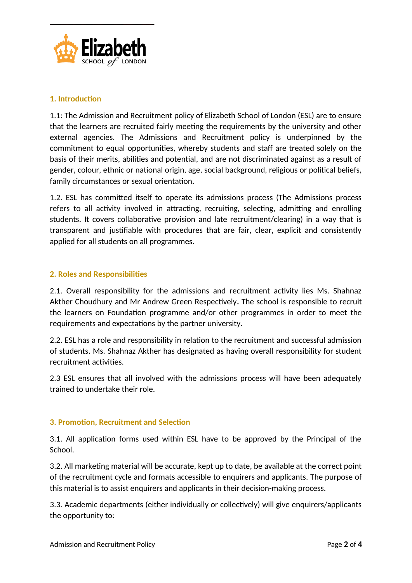

#### **1. Introduction**

1.1: The Admission and Recruitment policy of Elizabeth School of London (ESL) are to ensure that the learners are recruited fairly meeting the requirements by the university and other external agencies. The Admissions and Recruitment policy is underpinned by the commitment to equal opportunities, whereby students and staff are treated solely on the basis of their merits, abilities and potential, and are not discriminated against as a result of gender, colour, ethnic or national origin, age, social background, religious or political beliefs, family circumstances or sexual orientation.

1.2. ESL has committed itself to operate its admissions process (The Admissions process refers to all activity involved in attracting, recruiting, selecting, admitting and enrolling students. It covers collaborative provision and late recruitment/clearing) in a way that is transparent and justifiable with procedures that are fair, clear, explicit and consistently applied for all students on all programmes.

#### **2. Roles and Responsibilities**

2.1. Overall responsibility for the admissions and recruitment activity lies Ms. Shahnaz Akther Choudhury and Mr Andrew Green Respectively**.** The school is responsible to recruit the learners on Foundation programme and/or other programmes in order to meet the requirements and expectations by the partner university.

2.2. ESL has a role and responsibility in relation to the recruitment and successful admission of students. Ms. Shahnaz Akther has designated as having overall responsibility for student recruitment activities.

2.3 ESL ensures that all involved with the admissions process will have been adequately trained to undertake their role.

## **3. Promotion, Recruitment and Selection**

3.1. All application forms used within ESL have to be approved by the Principal of the School.

3.2. All marketing material will be accurate, kept up to date, be available at the correct point of the recruitment cycle and formats accessible to enquirers and applicants. The purpose of this material is to assist enquirers and applicants in their decision-making process.

3.3. Academic departments (either individually or collectively) will give enquirers/applicants the opportunity to: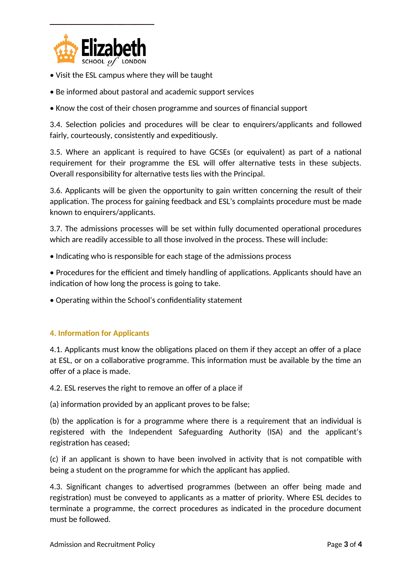

- Visit the ESL campus where they will be taught
- Be informed about pastoral and academic support services
- Know the cost of their chosen programme and sources of financial support

3.4. Selection policies and procedures will be clear to enquirers/applicants and followed fairly, courteously, consistently and expeditiously.

3.5. Where an applicant is required to have GCSEs (or equivalent) as part of a national requirement for their programme the ESL will offer alternative tests in these subjects. Overall responsibility for alternative tests lies with the Principal.

3.6. Applicants will be given the opportunity to gain written concerning the result of their application. The process for gaining feedback and ESL's complaints procedure must be made known to enquirers/applicants.

3.7. The admissions processes will be set within fully documented operational procedures which are readily accessible to all those involved in the process. These will include:

• Indicating who is responsible for each stage of the admissions process

• Procedures for the efficient and timely handling of applications. Applicants should have an indication of how long the process is going to take.

• Operating within the School's confidentiality statement

## **4. Information for Applicants**

4.1. Applicants must know the obligations placed on them if they accept an offer of a place at ESL, or on a collaborative programme. This information must be available by the time an offer of a place is made.

4.2. ESL reserves the right to remove an offer of a place if

(a) information provided by an applicant proves to be false;

(b) the application is for a programme where there is a requirement that an individual is registered with the Independent Safeguarding Authority (ISA) and the applicant's registration has ceased;

(c) if an applicant is shown to have been involved in activity that is not compatible with being a student on the programme for which the applicant has applied.

4.3. Significant changes to advertised programmes (between an offer being made and registration) must be conveyed to applicants as a matter of priority. Where ESL decides to terminate a programme, the correct procedures as indicated in the procedure document must be followed.